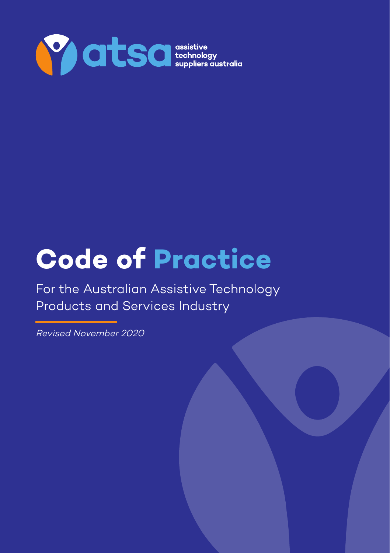

# **Code of Practice**

For the Australian Assistive Technology Products and Services Industry

© ATSA 2020 | ATSA Code of Practice version 3 revised November 2020 1

Revised November 2020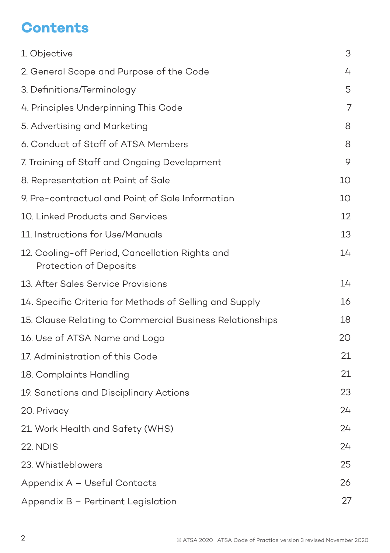# **Contents**

| 1. Objective                                                              | З  |
|---------------------------------------------------------------------------|----|
| 2. General Scope and Purpose of the Code                                  | 4  |
| 3. Definitions/Terminology                                                | 5  |
| 4. Principles Underpinning This Code                                      | 7  |
| 5. Advertising and Marketing                                              | 8  |
| 6. Conduct of Staff of ATSA Members                                       | 8  |
| 7. Training of Staff and Ongoing Development                              | 9  |
| 8. Representation at Point of Sale                                        | 10 |
| 9. Pre-contractual and Point of Sale Information                          | 10 |
| 10. Linked Products and Services                                          | 12 |
| 11. Instructions for Use/Manuals                                          | 13 |
| 12. Cooling-off Period, Cancellation Rights and<br>Protection of Deposits | 14 |
| 13. After Sales Service Provisions                                        | 14 |
| 14. Specific Criteria for Methods of Selling and Supply                   | 16 |
| 15. Clause Relating to Commercial Business Relationships                  | 18 |
| 16. Use of ATSA Name and Logo                                             | 20 |
| 17. Administration of this Code                                           | 21 |
| 18. Complaints Handling                                                   | 21 |
| 19. Sanctions and Disciplinary Actions                                    | 23 |
| 20. Privacy                                                               | 24 |
| 21. Work Health and Safety (WHS)                                          | 24 |
| 22. NDIS                                                                  | 24 |
| 23. Whistleblowers                                                        | 25 |
| Appendix A - Useful Contacts                                              | 26 |
| Appendix B - Pertinent Legislation                                        | 27 |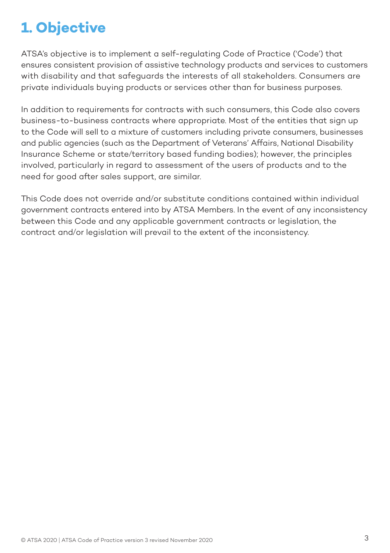# **1. Objective**

ATSA's objective is to implement a self-regulating Code of Practice ('Code') that ensures consistent provision of assistive technology products and services to customers with disability and that safeguards the interests of all stakeholders. Consumers are private individuals buying products or services other than for business purposes.

In addition to requirements for contracts with such consumers, this Code also covers business-to-business contracts where appropriate. Most of the entities that sign up to the Code will sell to a mixture of customers including private consumers, businesses and public agencies (such as the Department of Veterans' Affairs, National Disability Insurance Scheme or state/territory based funding bodies); however, the principles involved, particularly in regard to assessment of the users of products and to the need for good after sales support, are similar.

This Code does not override and/or substitute conditions contained within individual government contracts entered into by ATSA Members. In the event of any inconsistency between this Code and any applicable government contracts or legislation, the contract and/or legislation will prevail to the extent of the inconsistency.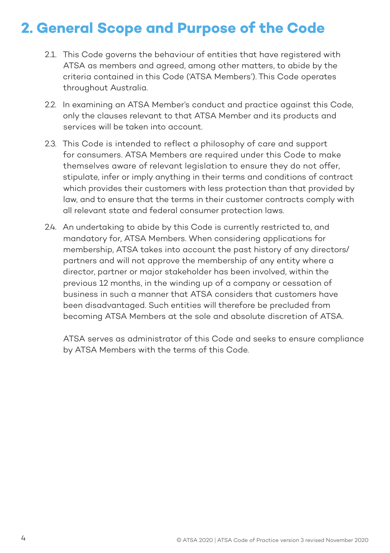## **2. General Scope and Purpose of the Code**

- 2.1. This Code governs the behaviour of entities that have registered with ATSA as members and agreed, among other matters, to abide by the criteria contained in this Code ('ATSA Members'). This Code operates throughout Australia.
- 2.2. In examining an ATSA Member's conduct and practice against this Code, only the clauses relevant to that ATSA Member and its products and services will be taken into account.
- 2.3. This Code is intended to reflect a philosophy of care and support for consumers. ATSA Members are required under this Code to make themselves aware of relevant legislation to ensure they do not offer, stipulate, infer or imply anything in their terms and conditions of contract which provides their customers with less protection than that provided by law, and to ensure that the terms in their customer contracts comply with all relevant state and federal consumer protection laws.
- 2.4. An undertaking to abide by this Code is currently restricted to, and mandatory for, ATSA Members. When considering applications for membership, ATSA takes into account the past history of any directors/ partners and will not approve the membership of any entity where a director, partner or major stakeholder has been involved, within the previous 12 months, in the winding up of a company or cessation of business in such a manner that ATSA considers that customers have been disadvantaged. Such entities will therefore be precluded from becoming ATSA Members at the sole and absolute discretion of ATSA.

ATSA serves as administrator of this Code and seeks to ensure compliance by ATSA Members with the terms of this Code.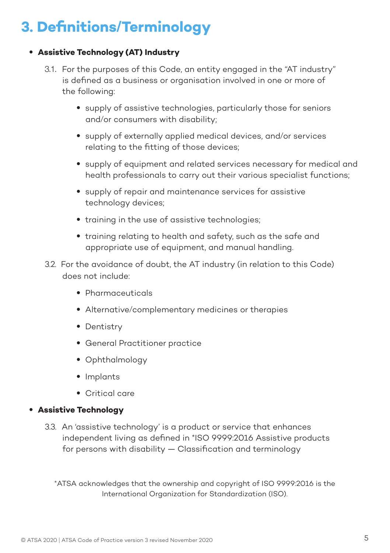# **3. Definitions/Terminology**

### • **Assistive Technology (AT) Industry**

- 3.1. For the purposes of this Code, an entity engaged in the "AT industry" is defined as a business or organisation involved in one or more of the following:
	- supply of assistive technologies, particularly those for seniors and/or consumers with disability;
	- supply of externally applied medical devices, and/or services relating to the fitting of those devices;
	- supply of equipment and related services necessary for medical and health professionals to carry out their various specialist functions;
	- supply of repair and maintenance services for assistive technology devices;
	- training in the use of assistive technologies:
	- training relating to health and safety, such as the safe and appropriate use of equipment, and manual handling.
- 3.2. For the avoidance of doubt, the AT industry (in relation to this Code) does not include:
	- Pharmaceuticals
	- Alternative/complementary medicines or therapies
	- Dentistry
	- General Practitioner practice
	- Ophthalmology
	- Implants
	- Critical care

### • **Assistive Technology**

3.3. An 'assistive technology' is a product or service that enhances independent living as defined in \*ISO 9999:2016 Assistive products for persons with disability — Classification and terminology

\*ATSA acknowledges that the ownership and copyright of ISO 9999:2016 is the International Organization for Standardization (ISO).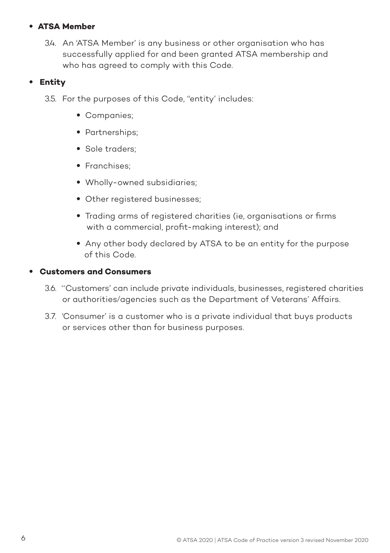### • **ATSA Member**

3.4. An 'ATSA Member' is any business or other organisation who has successfully applied for and been granted ATSA membership and who has agreed to comply with this Code.

### • **Entity**

3.5. For the purposes of this Code, "entity' includes:

- Companies;
- Partnerships;
- Sole traders;
- Franchises;
- Wholly-owned subsidiaries;
- Other registered businesses;
- Trading arms of registered charities (ie, organisations or firms with a commercial, profit-making interest); and
- Any other body declared by ATSA to be an entity for the purpose of this Code.

### • **Customers and Consumers**

- 3.6. ''Customers' can include private individuals, businesses, registered charities or authorities/agencies such as the Department of Veterans' Affairs.
- 3.7. 'Consumer' is a customer who is a private individual that buys products or services other than for business purposes.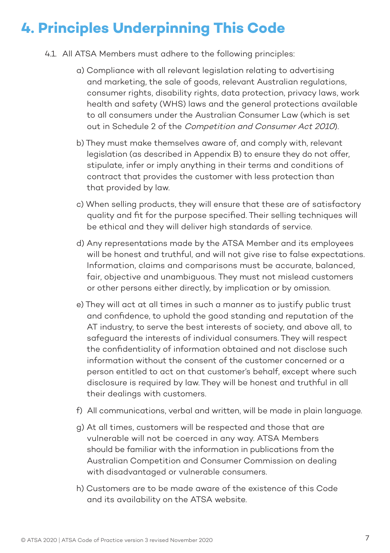# **4. Principles Underpinning This Code**

- 4.1. All ATSA Members must adhere to the following principles:
	- a) Compliance with all relevant legislation relating to advertising and marketing, the sale of goods, relevant Australian regulations, consumer rights, disability rights, data protection, privacy laws, work health and safety (WHS) laws and the general protections available to all consumers under the Australian Consumer Law (which is set out in Schedule 2 of the Competition and Consumer Act 2010).
	- b) They must make themselves aware of, and comply with, relevant legislation (as described in Appendix B) to ensure they do not offer, stipulate, infer or imply anything in their terms and conditions of contract that provides the customer with less protection than that provided by law.
	- c) When selling products, they will ensure that these are of satisfactory quality and fit for the purpose specified. Their selling techniques will be ethical and they will deliver high standards of service.
	- d) Any representations made by the ATSA Member and its employees will be honest and truthful, and will not give rise to false expectations. Information, claims and comparisons must be accurate, balanced, fair, objective and unambiguous. They must not mislead customers or other persons either directly, by implication or by omission.
	- e) They will act at all times in such a manner as to justify public trust and confidence, to uphold the good standing and reputation of the AT industry, to serve the best interests of society, and above all, to safeguard the interests of individual consumers. They will respect the confidentiality of information obtained and not disclose such information without the consent of the customer concerned or a person entitled to act on that customer's behalf, except where such disclosure is required by law. They will be honest and truthful in all their dealings with customers.
	- f) All communications, verbal and written, will be made in plain language.
	- g) At all times, customers will be respected and those that are vulnerable will not be coerced in any way. ATSA Members should be familiar with the information in publications from the Australian Competition and Consumer Commission on dealing with disadvantaged or vulnerable consumers.
	- h) Customers are to be made aware of the existence of this Code and its availability on the ATSA website.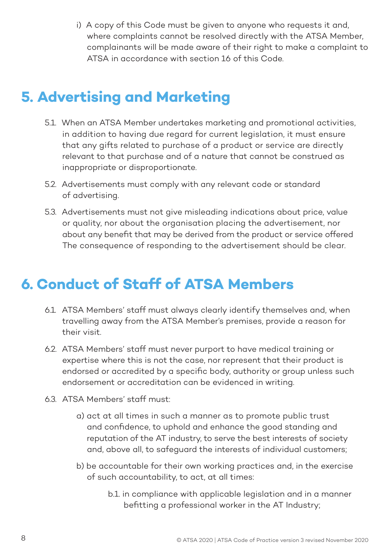i) A copy of this Code must be given to anyone who requests it and, where complaints cannot be resolved directly with the ATSA Member, complainants will be made aware of their right to make a complaint to ATSA in accordance with section 16 of this Code.

## **5. Advertising and Marketing**

- 5.1. When an ATSA Member undertakes marketing and promotional activities, in addition to having due regard for current legislation, it must ensure that any gifts related to purchase of a product or service are directly relevant to that purchase and of a nature that cannot be construed as inappropriate or disproportionate.
- 5.2. Advertisements must comply with any relevant code or standard of advertising.
- 5.3. Advertisements must not give misleading indications about price, value or quality, nor about the organisation placing the advertisement, nor about any benefit that may be derived from the product or service offered The consequence of responding to the advertisement should be clear.

# **6. Conduct of Staff of ATSA Members**

- 6.1. ATSA Members' staff must always clearly identify themselves and, when travelling away from the ATSA Member's premises, provide a reason for their visit.
- 6.2. ATSA Members' staff must never purport to have medical training or expertise where this is not the case, nor represent that their product is endorsed or accredited by a specific body, authority or group unless such endorsement or accreditation can be evidenced in writing.
- 6.3. ATSA Members' staff must:
	- a) act at all times in such a manner as to promote public trust and confidence, to uphold and enhance the good standing and reputation of the AT industry, to serve the best interests of society and, above all, to safeguard the interests of individual customers;
	- b) be accountable for their own working practices and, in the exercise of such accountability, to act, at all times:
		- b.1. in compliance with applicable legislation and in a manner befitting a professional worker in the AT Industry;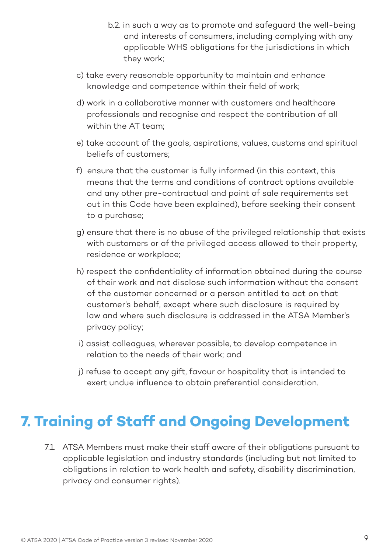- b.2. in such a way as to promote and safeguard the well-being and interests of consumers, including complying with any applicable WHS obligations for the jurisdictions in which they work;
- c) take every reasonable opportunity to maintain and enhance knowledge and competence within their field of work;
- d) work in a collaborative manner with customers and healthcare professionals and recognise and respect the contribution of all within the AT team;
- e) take account of the goals, aspirations, values, customs and spiritual beliefs of customers;
- f) ensure that the customer is fully informed (in this context, this means that the terms and conditions of contract options available and any other pre-contractual and point of sale requirements set out in this Code have been explained), before seeking their consent to a purchase;
- g) ensure that there is no abuse of the privileged relationship that exists with customers or of the privileged access allowed to their property, residence or workplace;
- h) respect the confidentiality of information obtained during the course of their work and not disclose such information without the consent of the customer concerned or a person entitled to act on that customer's behalf, except where such disclosure is required by law and where such disclosure is addressed in the ATSA Member's privacy policy;
- i) assist colleagues, wherever possible, to develop competence in relation to the needs of their work; and
- j) refuse to accept any gift, favour or hospitality that is intended to exert undue influence to obtain preferential consideration.

# **7. Training of Staff and Ongoing Development**

7.1. ATSA Members must make their staff aware of their obligations pursuant to applicable legislation and industry standards (including but not limited to obligations in relation to work health and safety, disability discrimination, privacy and consumer rights).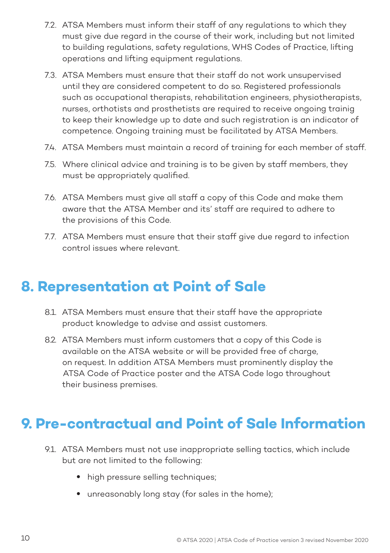- 7.2. ATSA Members must inform their staff of any regulations to which they must give due regard in the course of their work, including but not limited to building regulations, safety regulations, WHS Codes of Practice, lifting operations and lifting equipment regulations.
- 7.3. ATSA Members must ensure that their staff do not work unsupervised until they are considered competent to do so. Registered professionals such as occupational therapists, rehabilitation engineers, physiotherapists, nurses, orthotists and prosthetists are required to receive ongoing trainig to keep their knowledge up to date and such registration is an indicator of competence. Ongoing training must be facilitated by ATSA Members.
- 7.4. ATSA Members must maintain a record of training for each member of staff.
- 7.5. Where clinical advice and training is to be given by staff members, they must be appropriately qualified.
- 7.6. ATSA Members must give all staff a copy of this Code and make them aware that the ATSA Member and its' staff are required to adhere to the provisions of this Code.
- 7.7. ATSA Members must ensure that their staff give due regard to infection control issues where relevant.

# **8. Representation at Point of Sale**

- 8.1. ATSA Members must ensure that their staff have the appropriate product knowledge to advise and assist customers.
- 8.2. ATSA Members must inform customers that a copy of this Code is available on the ATSA website or will be provided free of charge, on request. In addition ATSA Members must prominently display the ATSA Code of Practice poster and the ATSA Code logo throughout their business premises.

# **9. Pre-contractual and Point of Sale Information**

- 9.1. ATSA Members must not use inappropriate selling tactics, which include but are not limited to the following:
	- high pressure selling techniques;
	- unreasonably long stay (for sales in the home);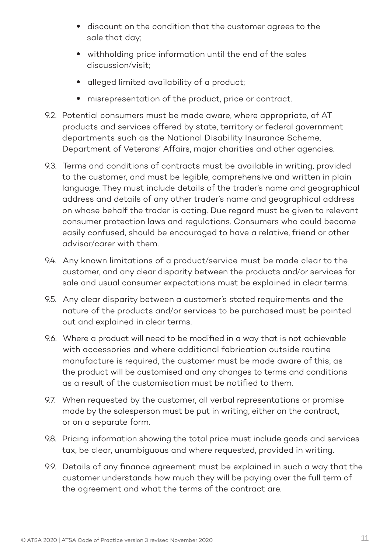- discount on the condition that the customer agrees to the sale that day;
- withholding price information until the end of the sales discussion/visit;
- alleged limited availability of a product;
- misrepresentation of the product, price or contract.
- 9.2. Potential consumers must be made aware, where appropriate, of AT products and services offered by state, territory or federal government departments such as the National Disability Insurance Scheme, Department of Veterans' Affairs, major charities and other agencies.
- 9.3. Terms and conditions of contracts must be available in writing, provided to the customer, and must be legible, comprehensive and written in plain language. They must include details of the trader's name and geographical address and details of any other trader's name and geographical address on whose behalf the trader is acting. Due regard must be given to relevant consumer protection laws and regulations. Consumers who could become easily confused, should be encouraged to have a relative, friend or other advisor/carer with them.
- 9.4. Any known limitations of a product/service must be made clear to the customer, and any clear disparity between the products and/or services for sale and usual consumer expectations must be explained in clear terms.
- 9.5. Any clear disparity between a customer's stated requirements and the nature of the products and/or services to be purchased must be pointed out and explained in clear terms.
- 9.6. Where a product will need to be modified in a way that is not achievable with accessories and where additional fabrication outside routine manufacture is required, the customer must be made aware of this, as the product will be customised and any changes to terms and conditions as a result of the customisation must be notified to them.
- 9.7. When requested by the customer, all verbal representations or promise made by the salesperson must be put in writing, either on the contract, or on a separate form.
- 9.8. Pricing information showing the total price must include goods and services tax, be clear, unambiguous and where requested, provided in writing.
- 9.9. Details of any finance agreement must be explained in such a way that the customer understands how much they will be paying over the full term of the agreement and what the terms of the contract are.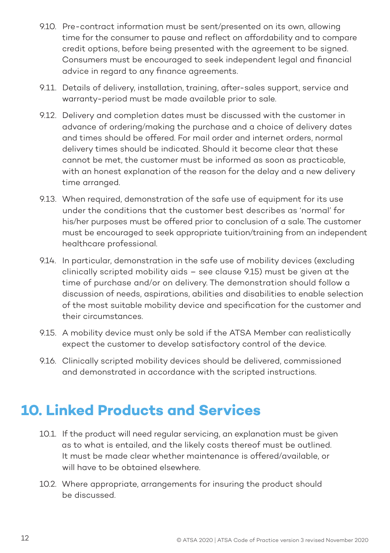- 9.10. Pre-contract information must be sent/presented on its own, allowing time for the consumer to pause and reflect on affordability and to compare credit options, before being presented with the agreement to be signed. Consumers must be encouraged to seek independent legal and financial advice in regard to any finance agreements.
- 9.11. Details of delivery, installation, training, after-sales support, service and warranty-period must be made available prior to sale.
- 9.12. Delivery and completion dates must be discussed with the customer in advance of ordering/making the purchase and a choice of delivery dates and times should be offered. For mail order and internet orders, normal delivery times should be indicated. Should it become clear that these cannot be met, the customer must be informed as soon as practicable, with an honest explanation of the reason for the delay and a new delivery time arranged.
- 9.13. When required, demonstration of the safe use of equipment for its use under the conditions that the customer best describes as 'normal' for his/her purposes must be offered prior to conclusion of a sale. The customer must be encouraged to seek appropriate tuition/training from an independent healthcare professional.
- 9.14. In particular, demonstration in the safe use of mobility devices (excluding clinically scripted mobility aids – see clause 9.15) must be given at the time of purchase and/or on delivery. The demonstration should follow a discussion of needs, aspirations, abilities and disabilities to enable selection of the most suitable mobility device and specification for the customer and their circumstances.
- 9.15. A mobility device must only be sold if the ATSA Member can realistically expect the customer to develop satisfactory control of the device.
- 9.16. Clinically scripted mobility devices should be delivered, commissioned and demonstrated in accordance with the scripted instructions.

# **10. Linked Products and Services**

- 10.1. If the product will need regular servicing, an explanation must be given as to what is entailed, and the likely costs thereof must be outlined. It must be made clear whether maintenance is offered/available, or will have to be obtained elsewhere.
- 10.2. Where appropriate, arrangements for insuring the product should be discussed.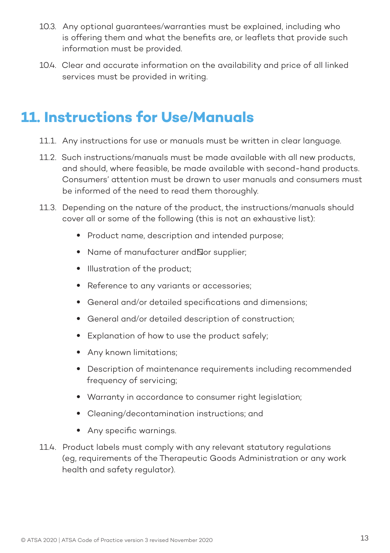- 10.3. Any optional guarantees/warranties must be explained, including who is offering them and what the benefits are, or leaflets that provide such information must be provided.
- 10.4. Clear and accurate information on the availability and price of all linked services must be provided in writing.

### **11. Instructions for Use/Manuals**

- 11.1. Any instructions for use or manuals must be written in clear language.
- 11.2. Such instructions/manuals must be made available with all new products, and should, where feasible, be made available with second-hand products. Consumers' attention must be drawn to user manuals and consumers must be informed of the need to read them thoroughly.
- 11.3. Depending on the nature of the product, the instructions/manuals should cover all or some of the following (this is not an exhaustive list):
	- Product name, description and intended purpose;
	- Name of manufacturer and For supplier;
	- Illustration of the product;
	- Reference to any variants or accessories;
	- General and/or detailed specifications and dimensions;
	- General and/or detailed description of construction;
	- Explanation of how to use the product safely;
	- Any known limitations;
	- Description of maintenance requirements including recommended frequency of servicing;
	- Warranty in accordance to consumer right legislation;
	- Cleaning/decontamination instructions; and
	- Any specific warnings.
- 11.4. Product labels must comply with any relevant statutory regulations (eg, requirements of the Therapeutic Goods Administration or any work health and safety regulator).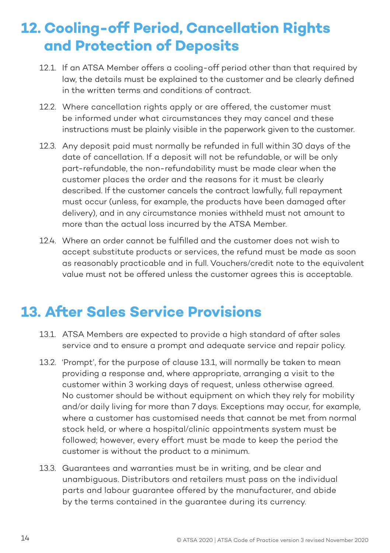# **12. Cooling-off Period, Cancellation Rights and Protection of Deposits**

- 12.1. If an ATSA Member offers a cooling-off period other than that required by law, the details must be explained to the customer and be clearly defined in the written terms and conditions of contract.
- 12.2. Where cancellation rights apply or are offered, the customer must be informed under what circumstances they may cancel and these instructions must be plainly visible in the paperwork given to the customer.
- 12.3. Any deposit paid must normally be refunded in full within 30 days of the date of cancellation. If a deposit will not be refundable, or will be only part-refundable, the non-refundability must be made clear when the customer places the order and the reasons for it must be clearly described. If the customer cancels the contract lawfully, full repayment must occur (unless, for example, the products have been damaged after delivery), and in any circumstance monies withheld must not amount to more than the actual loss incurred by the ATSA Member.
- 12.4. Where an order cannot be fulfilled and the customer does not wish to accept substitute products or services, the refund must be made as soon as reasonably practicable and in full. Vouchers/credit note to the equivalent value must not be offered unless the customer agrees this is acceptable.

# **13. After Sales Service Provisions**

- 13.1. ATSA Members are expected to provide a high standard of after sales service and to ensure a prompt and adequate service and repair policy.
- 13.2. 'Prompt', for the purpose of clause 13.1, will normally be taken to mean providing a response and, where appropriate, arranging a visit to the customer within 3 working days of request, unless otherwise agreed. No customer should be without equipment on which they rely for mobility and/or daily living for more than 7 days. Exceptions may occur, for example, where a customer has customised needs that cannot be met from normal stock held, or where a hospital/clinic appointments system must be followed; however, every effort must be made to keep the period the customer is without the product to a minimum.
- 13.3. Guarantees and warranties must be in writing, and be clear and unambiguous. Distributors and retailers must pass on the individual parts and labour guarantee offered by the manufacturer, and abide by the terms contained in the guarantee during its currency.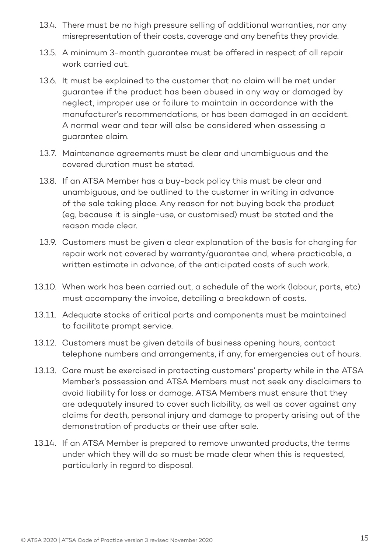- 13.4. There must be no high pressure selling of additional warranties, nor any misrepresentation of their costs, coverage and any benefits they provide.
- 13.5. A minimum 3-month guarantee must be offered in respect of all repair work carried out.
- 13.6. It must be explained to the customer that no claim will be met under guarantee if the product has been abused in any way or damaged by neglect, improper use or failure to maintain in accordance with the manufacturer's recommendations, or has been damaged in an accident. A normal wear and tear will also be considered when assessing a guarantee claim.
- 13.7. Maintenance agreements must be clear and unambiguous and the covered duration must be stated.
- 13.8. If an ATSA Member has a buy-back policy this must be clear and unambiguous, and be outlined to the customer in writing in advance of the sale taking place. Any reason for not buying back the product (eg, because it is single-use, or customised) must be stated and the reason made clear.
- 13.9. Customers must be given a clear explanation of the basis for charging for repair work not covered by warranty/guarantee and, where practicable, a written estimate in advance, of the anticipated costs of such work.
- 13.10. When work has been carried out, a schedule of the work (labour, parts, etc) must accompany the invoice, detailing a breakdown of costs.
- 13.11. Adequate stocks of critical parts and components must be maintained to facilitate prompt service.
- 13.12. Customers must be given details of business opening hours, contact telephone numbers and arrangements, if any, for emergencies out of hours.
- 13.13. Care must be exercised in protecting customers' property while in the ATSA Member's possession and ATSA Members must not seek any disclaimers to avoid liability for loss or damage. ATSA Members must ensure that they are adequately insured to cover such liability, as well as cover against any claims for death, personal injury and damage to property arising out of the demonstration of products or their use after sale.
- 13.14. If an ATSA Member is prepared to remove unwanted products, the terms under which they will do so must be made clear when this is requested, particularly in regard to disposal.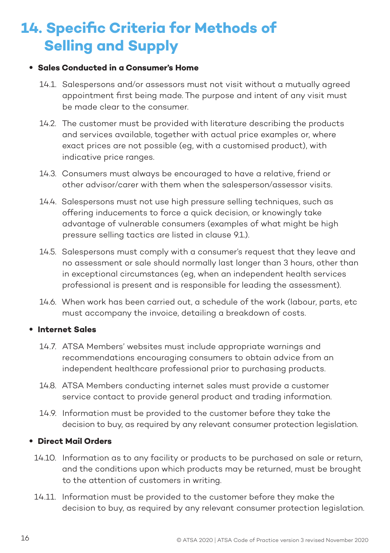# **14. Specific Criteria for Methods of Selling and Supply**

### • **Sales Conducted in a Consumer's Home**

- 14.1. Salespersons and/or assessors must not visit without a mutually agreed appointment first being made. The purpose and intent of any visit must be made clear to the consumer.
- 14.2. The customer must be provided with literature describing the products and services available, together with actual price examples or, where exact prices are not possible (eg, with a customised product), with indicative price ranges.
- 14.3. Consumers must always be encouraged to have a relative, friend or other advisor/carer with them when the salesperson/assessor visits.
- 14.4. Salespersons must not use high pressure selling techniques, such as offering inducements to force a quick decision, or knowingly take advantage of vulnerable consumers (examples of what might be high pressure selling tactics are listed in clause 9.1.).
- 14.5. Salespersons must comply with a consumer's request that they leave and no assessment or sale should normally last longer than 3 hours, other than in exceptional circumstances (eg, when an independent health services professional is present and is responsible for leading the assessment).
- 14.6. When work has been carried out, a schedule of the work (labour, parts, etc must accompany the invoice, detailing a breakdown of costs.

### • **Internet Sales**

- 14.7. ATSA Members' websites must include appropriate warnings and recommendations encouraging consumers to obtain advice from an independent healthcare professional prior to purchasing products.
- 14.8. ATSA Members conducting internet sales must provide a customer service contact to provide general product and trading information.
- 14.9. Information must be provided to the customer before they take the decision to buy, as required by any relevant consumer protection legislation.

### • **Direct Mail Orders**

- 14.10. Information as to any facility or products to be purchased on sale or return, and the conditions upon which products may be returned, must be brought to the attention of customers in writing.
- 14.11. Information must be provided to the customer before they make the decision to buy, as required by any relevant consumer protection legislation.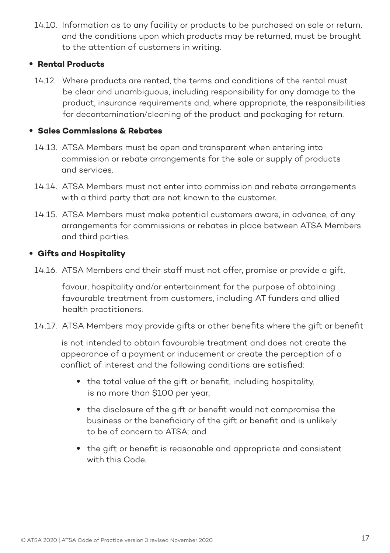14.10. Information as to any facility or products to be purchased on sale or return, and the conditions upon which products may be returned, must be brought to the attention of customers in writing.

### • **Rental Products**

14.12. Where products are rented, the terms and conditions of the rental must be clear and unambiguous, including responsibility for any damage to the product, insurance requirements and, where appropriate, the responsibilities for decontamination/cleaning of the product and packaging for return.

### • **Sales Commissions & Rebates**

- 14.13. ATSA Members must be open and transparent when entering into commission or rebate arrangements for the sale or supply of products and services.
- 14.14. ATSA Members must not enter into commission and rebate arrangements with a third party that are not known to the customer.
- 14.15. ATSA Members must make potential customers aware, in advance, of any arrangements for commissions or rebates in place between ATSA Members and third parties.

### • **Gifts and Hospitality**

14.16. ATSA Members and their staff must not offer, promise or provide a gift,

 favour, hospitality and/or entertainment for the purpose of obtaining favourable treatment from customers, including AT funders and allied health practitioners.

14.17. ATSA Members may provide gifts or other benefits where the gift or benefit

 is not intended to obtain favourable treatment and does not create the appearance of a payment or inducement or create the perception of a conflict of interest and the following conditions are satisfied:

- the total value of the gift or benefit, including hospitality, is no more than \$100 per year;
- the disclosure of the gift or benefit would not compromise the business or the beneficiary of the gift or benefit and is unlikely to be of concern to ATSA; and
- the gift or benefit is reasonable and appropriate and consistent with this Code.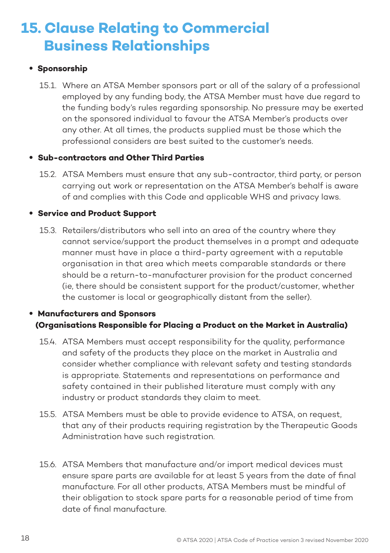# **15. Clause Relating to Commercial Business Relationships**

### **• Sponsorship**

15.1. Where an ATSA Member sponsors part or all of the salary of a professional employed by any funding body, the ATSA Member must have due regard to the funding body's rules regarding sponsorship. No pressure may be exerted on the sponsored individual to favour the ATSA Member's products over any other. At all times, the products supplied must be those which the professional considers are best suited to the customer's needs.

### • **Sub-contractors and Other Third Parties**

15.2. ATSA Members must ensure that any sub-contractor, third party, or person carrying out work or representation on the ATSA Member's behalf is aware of and complies with this Code and applicable WHS and privacy laws.

### • **Service and Product Support**

15.3. Retailers/distributors who sell into an area of the country where they cannot service/support the product themselves in a prompt and adequate manner must have in place a third-party agreement with a reputable organisation in that area which meets comparable standards or there should be a return-to-manufacturer provision for the product concerned (ie, there should be consistent support for the product/customer, whether the customer is local or geographically distant from the seller).

### • **Manufacturers and Sponsors (Organisations Responsible for Placing a Product on the Market in Australia)**

- 15.4. ATSA Members must accept responsibility for the quality, performance and safety of the products they place on the market in Australia and consider whether compliance with relevant safety and testing standards is appropriate. Statements and representations on performance and safety contained in their published literature must comply with any industry or product standards they claim to meet.
- 15.5. ATSA Members must be able to provide evidence to ATSA, on request, that any of their products requiring registration by the Therapeutic Goods Administration have such registration.
- 15.6. ATSA Members that manufacture and/or import medical devices must ensure spare parts are available for at least 5 years from the date of final manufacture. For all other products, ATSA Members must be mindful of their obligation to stock spare parts for a reasonable period of time from date of final manufacture.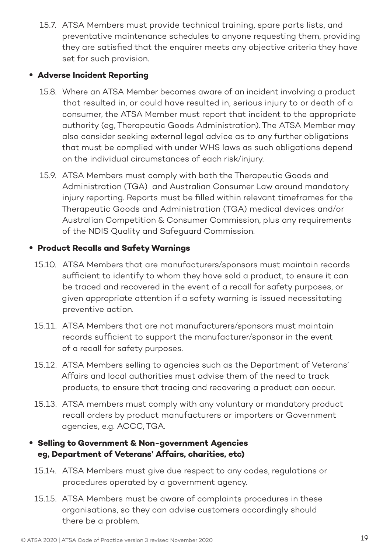15.7. ATSA Members must provide technical training, spare parts lists, and preventative maintenance schedules to anyone requesting them, providing they are satisfied that the enquirer meets any objective criteria they have set for such provision.

### • **Adverse Incident Reporting**

- 15.8. Where an ATSA Member becomes aware of an incident involving a product that resulted in, or could have resulted in, serious injury to or death of a consumer, the ATSA Member must report that incident to the appropriate authority (eg, Therapeutic Goods Administration). The ATSA Member may also consider seeking external legal advice as to any further obligations that must be complied with under WHS laws as such obligations depend on the individual circumstances of each risk/injury.
- 15.9. ATSA Members must comply with both the Therapeutic Goods and Administration (TGA) and Australian Consumer Law around mandatory injury reporting. Reports must be filled within relevant timeframes for the Therapeutic Goods and Administration (TGA) medical devices and/or Australian Competition & Consumer Commission, plus any requirements of the NDIS Quality and Safeguard Commission.

### • **Product Recalls and Safety Warnings**

- 15.10. ATSA Members that are manufacturers/sponsors must maintain records sufficient to identify to whom they have sold a product, to ensure it can be traced and recovered in the event of a recall for safety purposes, or given appropriate attention if a safety warning is issued necessitating preventive action.
- 15.11. ATSA Members that are not manufacturers/sponsors must maintain records sufficient to support the manufacturer/sponsor in the event of a recall for safety purposes.
- 15.12. ATSA Members selling to agencies such as the Department of Veterans' Affairs and local authorities must advise them of the need to track products, to ensure that tracing and recovering a product can occur.
- 15.13. ATSA members must comply with any voluntary or mandatory product recall orders by product manufacturers or importers or Government agencies, e.g. ACCC, TGA.

### • **Selling to Government & Non-government Agencies eg, Department of Veterans' Affairs, charities, etc)**

- 15.14. ATSA Members must give due respect to any codes, regulations or procedures operated by a government agency.
- 15.15. ATSA Members must be aware of complaints procedures in these organisations, so they can advise customers accordingly should there be a problem.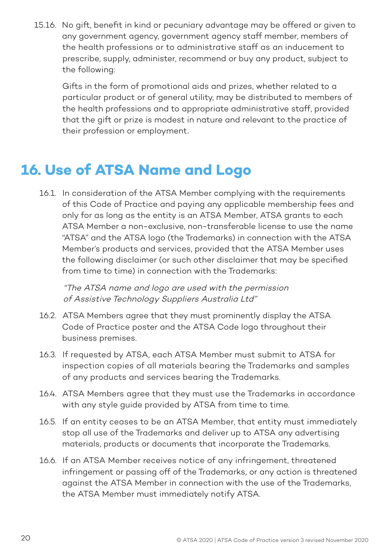15.16. No gift, benefit in kind or pecuniary advantage may be offered or given to any government agency, government agency staff member, members of the health professions or to administrative staff as an inducement to prescribe, supply, administer, recommend or buy any product, subject to the following:

 Gifts in the form of promotional aids and prizes, whether related to a particular product or of general utility, may be distributed to members of the health professions and to appropriate administrative staff, provided that the gift or prize is modest in nature and relevant to the practice of their profession or employment.

# **16. Use of ATSA Name and Logo**

16.1. In consideration of the ATSA Member complying with the requirements of this Code of Practice and paying any applicable membership fees and only for as long as the entity is an ATSA Member, ATSA grants to each ATSA Member a non-exclusive, non-transferable license to use the name "ATSA" and the ATSA logo (the Trademarks) in connection with the ATSA Member's products and services, provided that the ATSA Member uses the following disclaimer (or such other disclaimer that may be specified from time to time) in connection with the Trademarks:

"The ATSA name and logo are used with the permission of Assistive Technology Suppliers Australia Ltd"

- 16.2. ATSA Members agree that they must prominently display the ATSA Code of Practice poster and the ATSA Code logo throughout their business premises.
- 16.3. If requested by ATSA, each ATSA Member must submit to ATSA for inspection copies of all materials bearing the Trademarks and samples of any products and services bearing the Trademarks.
- 16.4. ATSA Members agree that they must use the Trademarks in accordance with any style guide provided by ATSA from time to time.
- 16.5. If an entity ceases to be an ATSA Member, that entity must immediately stop all use of the Trademarks and deliver up to ATSA any advertising materials, products or documents that incorporate the Trademarks.
- 16.6. If an ATSA Member receives notice of any infringement, threatened infringement or passing off of the Trademarks, or any action is threatened against the ATSA Member in connection with the use of the Trademarks, the ATSA Member must immediately notify ATSA.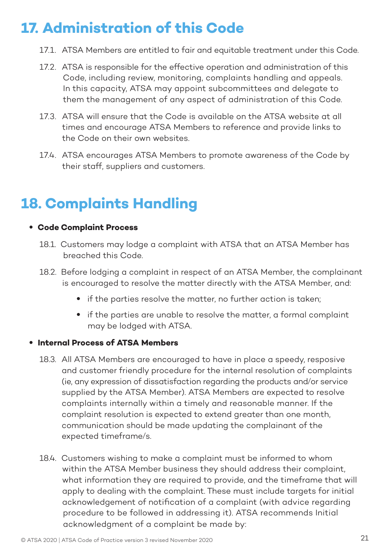# **17. Administration of this Code**

- 17.1. ATSA Members are entitled to fair and equitable treatment under this Code.
- 17.2. ATSA is responsible for the effective operation and administration of this Code, including review, monitoring, complaints handling and appeals. In this capacity, ATSA may appoint subcommittees and delegate to them the management of any aspect of administration of this Code.
- 17.3. ATSA will ensure that the Code is available on the ATSA website at all times and encourage ATSA Members to reference and provide links to the Code on their own websites.
- 17.4. ATSA encourages ATSA Members to promote awareness of the Code by their staff, suppliers and customers.

# **18. Complaints Handling**

### • **Code Complaint Process**

- 18.1. Customers may lodge a complaint with ATSA that an ATSA Member has breached this Code.
- 18.2. Before lodging a complaint in respect of an ATSA Member, the complainant is encouraged to resolve the matter directly with the ATSA Member, and:
	- if the parties resolve the matter, no further action is taken;
	- if the parties are unable to resolve the matter, a formal complaint may be lodged with ATSA.

### • **Internal Process of ATSA Members**

- 18.3. All ATSA Members are encouraged to have in place a speedy, resposive and customer friendly procedure for the internal resolution of complaints (ie, any expression of dissatisfaction regarding the products and/or service supplied by the ATSA Member). ATSA Members are expected to resolve complaints internally within a timely and reasonable manner. If the complaint resolution is expected to extend greater than one month, communication should be made updating the complainant of the expected timeframe/s.
- 18.4. Customers wishing to make a complaint must be informed to whom within the ATSA Member business they should address their complaint, what information they are required to provide, and the timeframe that will apply to dealing with the complaint. These must include targets for initial acknowledgement of notification of a complaint (with advice regarding procedure to be followed in addressing it). ATSA recommends Initial acknowledgment of a complaint be made by: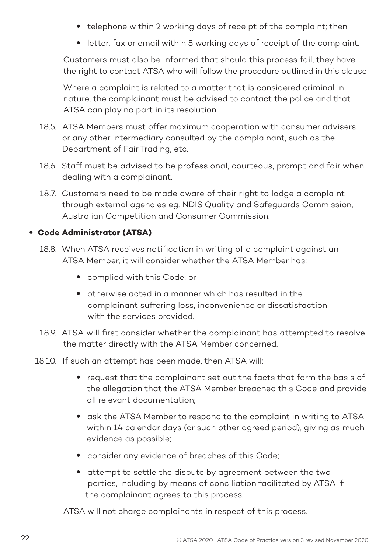- telephone within 2 working days of receipt of the complaint; then
- letter, fax or email within 5 working days of receipt of the complaint.

Customers must also be informed that should this process fail, they have the right to contact ATSA who will follow the procedure outlined in this clause

Where a complaint is related to a matter that is considered criminal in nature, the complainant must be advised to contact the police and that ATSA can play no part in its resolution.

- 18.5. ATSA Members must offer maximum cooperation with consumer advisers or any other intermediary consulted by the complainant, such as the Department of Fair Trading, etc.
- 18.6. Staff must be advised to be professional, courteous, prompt and fair when dealing with a complainant.
- 18.7. Customers need to be made aware of their right to lodge a complaint through external agencies eg. NDIS Quality and Safeguards Commission, Australian Competition and Consumer Commission.

### • **Code Administrator (ATSA)**

- 18.8. When ATSA receives notification in writing of a complaint against an ATSA Member, it will consider whether the ATSA Member has:
	- complied with this Code; or
	- otherwise acted in a manner which has resulted in the complainant suffering loss, inconvenience or dissatisfaction with the services provided.
- 18.9. ATSA will first consider whether the complainant has attempted to resolve the matter directly with the ATSA Member concerned.
- 18.10. If such an attempt has been made, then ATSA will:
	- request that the complainant set out the facts that form the basis of the allegation that the ATSA Member breached this Code and provide all relevant documentation;
	- ask the ATSA Member to respond to the complaint in writing to ATSA within 14 calendar days (or such other agreed period), giving as much evidence as possible;
	- consider any evidence of breaches of this Code;
	- attempt to settle the dispute by agreement between the two parties, including by means of conciliation facilitated by ATSA if the complainant agrees to this process.

ATSA will not charge complainants in respect of this process.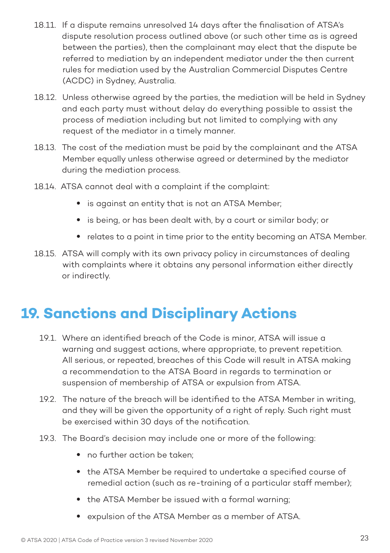- 18.11. If a dispute remains unresolved 14 days after the finalisation of ATSA's dispute resolution process outlined above (or such other time as is agreed between the parties), then the complainant may elect that the dispute be referred to mediation by an independent mediator under the then current rules for mediation used by the Australian Commercial Disputes Centre (ACDC) in Sydney, Australia.
- 18.12. Unless otherwise agreed by the parties, the mediation will be held in Sydney and each party must without delay do everything possible to assist the process of mediation including but not limited to complying with any request of the mediator in a timely manner.
- 18.13. The cost of the mediation must be paid by the complainant and the ATSA Member equally unless otherwise agreed or determined by the mediator during the mediation process.
- 18.14. ATSA cannot deal with a complaint if the complaint:
	- is against an entity that is not an ATSA Member;
	- is being, or has been dealt with, by a court or similar body; or
	- relates to a point in time prior to the entity becoming an ATSA Member.
- 18.15. ATSA will comply with its own privacy policy in circumstances of dealing with complaints where it obtains any personal information either directly or indirectly.

# **19. Sanctions and Disciplinary Actions**

- 19.1. Where an identified breach of the Code is minor, ATSA will issue a warning and suggest actions, where appropriate, to prevent repetition. All serious, or repeated, breaches of this Code will result in ATSA making a recommendation to the ATSA Board in regards to termination or suspension of membership of ATSA or expulsion from ATSA.
- 19.2. The nature of the breach will be identified to the ATSA Member in writing, and they will be given the opportunity of a right of reply. Such right must be exercised within 30 days of the notification.
- 19.3. The Board's decision may include one or more of the following:
	- no further action be taken:
	- the ATSA Member be required to undertake a specified course of remedial action (such as re-training of a particular staff member);
	- the ATSA Member be issued with a formal warning;
	- expulsion of the ATSA Member as a member of ATSA.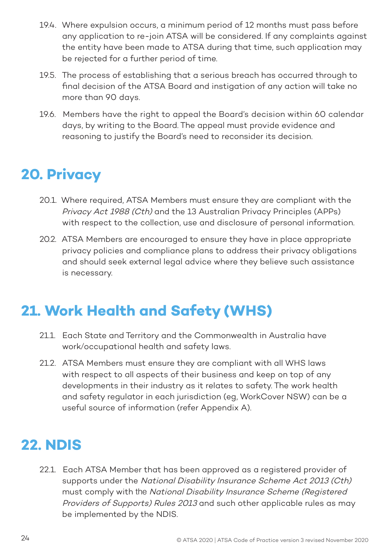- 19.4. Where expulsion occurs, a minimum period of 12 months must pass before any application to re-join ATSA will be considered. If any complaints against the entity have been made to ATSA during that time, such application may be rejected for a further period of time.
- 19.5. The process of establishing that a serious breach has occurred through to final decision of the ATSA Board and instigation of any action will take no more than 90 days.
- 19.6. Members have the right to appeal the Board's decision within 60 calendar days, by writing to the Board. The appeal must provide evidence and reasoning to justify the Board's need to reconsider its decision.

# **20. Privacy**

- 20.1. Where required, ATSA Members must ensure they are compliant with the Privacy Act 1988 (Cth) and the 13 Australian Privacy Principles (APPs) with respect to the collection, use and disclosure of personal information.
- 20.2. ATSA Members are encouraged to ensure they have in place appropriate privacy policies and compliance plans to address their privacy obligations and should seek external legal advice where they believe such assistance is necessary.

# **21. Work Health and Safety (WHS)**

- 21.1. Each State and Territory and the Commonwealth in Australia have work/occupational health and safety laws.
- 21.2. ATSA Members must ensure they are compliant with all WHS laws with respect to all aspects of their business and keep on top of any developments in their industry as it relates to safety. The work health and safety regulator in each jurisdiction (eg, WorkCover NSW) can be a useful source of information (refer Appendix A).

# **22. NDIS**

22.1. Each ATSA Member that has been approved as a registered provider of supports under the National Disability Insurance Scheme Act 2013 (Cth) must comply with the National Disability Insurance Scheme (Registered Providers of Supports) Rules 2013 and such other applicable rules as may be implemented by the NDIS.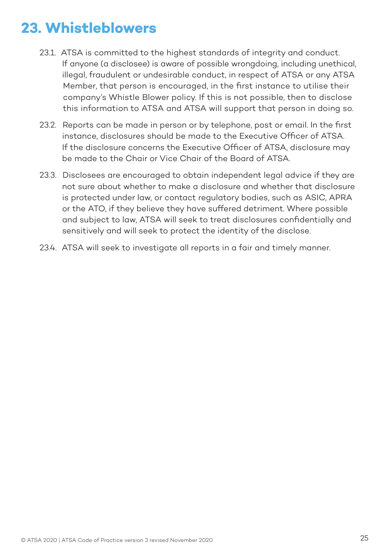# **23. Whistleblowers**

- 23.1. ATSA is committed to the highest standards of integrity and conduct. If anyone (a disclosee) is aware of possible wrongdoing, including unethical, illegal, fraudulent or undesirable conduct, in respect of ATSA or any ATSA Member, that person is encouraged, in the first instance to utilise their company's Whistle Blower policy. If this is not possible, then to disclose this information to ATSA and ATSA will support that person in doing so.
- 23.2. Reports can be made in person or by telephone, post or email. In the first instance, disclosures should be made to the Executive Officer of ATSA. If the disclosure concerns the Executive Officer of ATSA, disclosure may be made to the Chair or Vice Chair of the Board of ATSA.
- 23.3. Disclosees are encouraged to obtain independent legal advice if they are not sure about whether to make a disclosure and whether that disclosure is protected under law, or contact regulatory bodies, such as ASIC, APRA or the ATO, if they believe they have suffered detriment. Where possible and subject to law, ATSA will seek to treat disclosures confidentially and sensitively and will seek to protect the identity of the disclose.
- 23.4. ATSA will seek to investigate all reports in a fair and timely manner.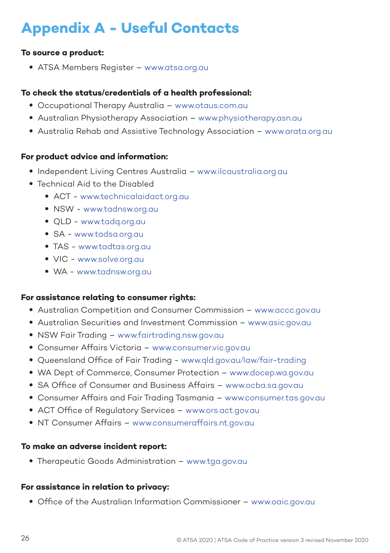# **Appendix A - Useful Contacts**

### **To source a product:**

• ATSA Members Register – www.atsa.org.au

#### **To check the status/credentials of a health professional:**

- Occupational Therapy Australia www.otaus.com.au
- Australian Physiotherapy Association www.physiotherapy.asn.au
- Australia Rehab and Assistive Technology Association www.arata.org.au

#### **For product advice and information:**

- Independent Living Centres Australia www.ilcaustralia.org.au
- Technical Aid to the Disabled
	- ACT www.technicalaidact.org.au
	- NSW www.tadnsw.org.au
	- QLD www.tadq.org.au
	- SA www.tadsa.org.au
	- TAS www.tadtas.org.au
	- VIC www.solve.org.au
	- WA www.tadnsw.org.au

#### **For assistance relating to consumer rights:**

- Australian Competition and Consumer Commission www.accc.gov.au
- Australian Securities and Investment Commission www.asic.gov.au
- NSW Fair Trading www.fairtrading.nsw.gov.au
- Consumer Affairs Victoria www.consumer.vic.gov.au
- Queensland Office of Fair Trading www.qld.gov.au/law/fair-trading
- WA Dept of Commerce, Consumer Protection www.docep.wa.gov.au
- SA Office of Consumer and Business Affairs www.ocba.sa.gov.au
- Consumer Affairs and Fair Trading Tasmania www.consumer.tas.gov.au
- ACT Office of Regulatory Services www.ors.act.gov.au
- NT Consumer Affairs www.consumeraffairs.nt.gov.au

#### **To make an adverse incident report:**

• Therapeutic Goods Administration – www.tga.gov.gu

#### **For assistance in relation to privacy:**

• Office of the Australian Information Commissioner – www.oaic.gov.au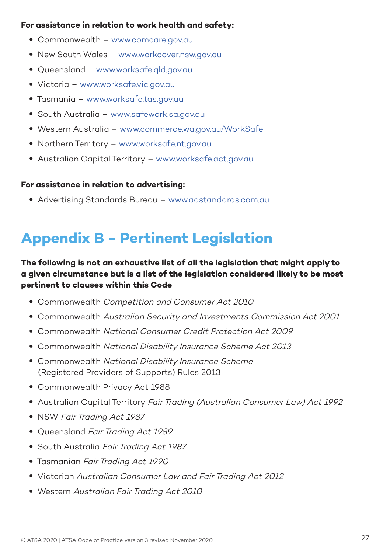### **For assistance in relation to work health and safety:**

- Commonwealth www.comcare.gov.au
- New South Wales www.workcover.nsw.gov.au
- Queensland www.worksafe.qld.gov.au
- Victoria www.worksafe.vic.gov.au
- Tasmania www.worksafe.tas.gov.au
- South Australia www.safework.sa.gov.au
- Western Australia www.commerce.wa.gov.au/WorkSafe
- Northern Territory www.worksafe.nt.gov.au
- Australian Capital Territory www.worksafe.act.gov.au

#### **For assistance in relation to advertising:**

• Advertising Standards Bureau – www.adstandards.com.au

# **Appendix B - Pertinent Legislation**

### **The following is not an exhaustive list of all the legislation that might apply to a given circumstance but is a list of the legislation considered likely to be most pertinent to clauses within this Code**

- Commonwealth Competition and Consumer Act 2010
- Commonwealth Australian Security and Investments Commission Act 2001
- Commonwealth National Consumer Credit Protection Act 2009
- Commonwealth National Disability Insurance Scheme Act 2013
- Commonwealth National Disability Insurance Scheme (Registered Providers of Supports) Rules 2013
- Commonwealth Privacy Act 1988
- Australian Capital Territory Fair Tradina (Australian Consumer Law) Act 1992
- NSW Fair Trading Act 1987
- Queensland Fair Trading Act 1989
- South Australia Fair Trading Act 1987
- Tasmanian Fair Trading Act 1990
- Victorian Australian Consumer Law and Fair Trading Act 2012
- Western Australian Fair Trading Act 2010